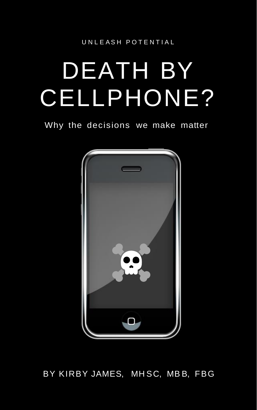U N L E AS H P O T E N T I A L

# DEATH BY CELLPHONE?

Why the decisions we make matter



#### BY KIRBY JAMES, MH SC, MB B, FBG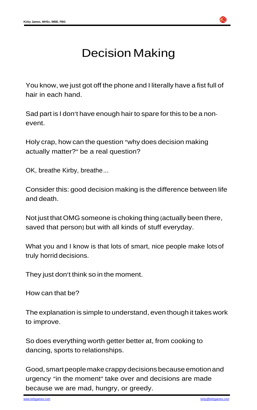

### Decision Making

You know, we just got off the phone and I literally have a fist full of hair in each hand.

Sad part is I don't have enough hair to spare for this to be a nonevent.

Holy crap, how can the question "why does decision making actually matter?" be a real question?

OK, breathe Kirby, breathe...

Consider this: good decision making is the difference between life and death.

Not just that OMG someone is choking thing (actually been there, saved that person) but with all kinds of stuff everyday.

Good, smart people make crappy decisions because emotion and urgency "in the moment" take over and decisions are made because we are mad, hungry, or greedy.

What you and I know is that lots of smart, nice people make lotsof truly horrid decisions.

They just don't think so in the moment.

How can that be?

The explanation is simple to understand, even though it takes work to improve.

So does everything worth getter better at, from cooking to dancing, sports to relationships.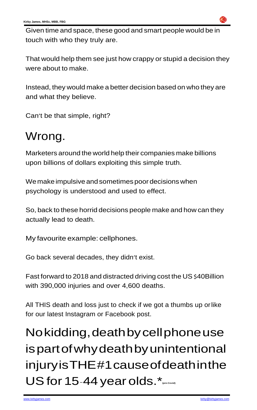

Given time and space, these good and smart people would be in touch with who they truly are.

That would help them see just how crappy or stupid a decision they were about to make.

We make impulsive and sometimes poor decisions when psychology is understood and used to effect.

Instead, they would make a better decision based on who they are and what they believe.

Can't be that simple, right?

### Wrong.

Marketers around the world help their companies make billions upon billions of dollars exploiting this simple truth.

So, back to these horrid decisions people make and how can they actually lead to death.

My favourite example: cellphones.

Go back several decades, they didn't exist.

Fast forward to 2018 and distracted driving cost the US \$40Billion with 390,000 injuries and over 4,600 deaths.

All THIS death and loss just to check if we got a thumbs up orlike for our latest Instagram or Facebook post.

Nokidding,deathbycellphoneuse ispartofwhydeathbyunintentional injuryisTHE#1causeofdeathinthe USfor 15-44 year olds.\* **(pre-Covid)**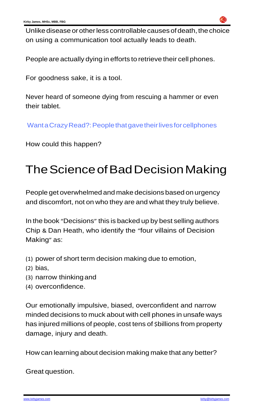

Unlike disease or other less controllable causes of death, the choice [on using a communication tool actually leads to death.](https://www.ranker.com/list/people-who-gave-lives-for-cell-phone/amandatullos)

People are actually dying in efforts to retrieve their cell [phones.](https://www.ranker.com/list/people-who-gave-lives-for-cell-phone/amandatullos) 

For goodness [sake, it is a tool.](https://www.ranker.com/list/people-who-gave-lives-for-cell-phone/amandatullos)

In the book "Decisions" this is backed up by best selling authors Chip & Dan Heath, who identify the "four villains of Decision Making" as:

[Never heard of someone dying from rescuing a hammer or even](https://www.ranker.com/list/people-who-gave-lives-for-cell-phone/amandatullos) [their tablet.](https://www.ranker.com/list/people-who-gave-lives-for-cell-phone/amandatullos)

Wanta Crazy Read?: People that gave their lives for cellphones

[How could this happen?](https://www.ranker.com/list/people-who-gave-lives-for-cell-phone/amandatullos)

## [TheScienceofBadDecisionMaking](https://www.ranker.com/list/people-who-gave-lives-for-cell-phone/amandatullos)

People get overwhelmed and make decisions based on urgency and discomfort, not on who they are and what they truly believe.

- (1) power of short term decision making due to emotion,
- (2) bias,
- (3) narrow thinking and
- (4) overconfidence.

Our emotionally impulsive, biased, overconfident and narrow minded decisions to muck about with cell phones in unsafe ways has injured millions of people, cost tens of \$billions from property damage, injury and death.

How can learning about decision making make that any better?

Great question.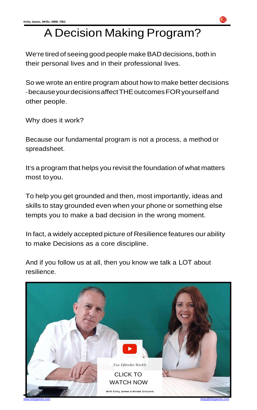



[www.kirbyjames.com](http://www.kirbyjames.com/) [kirby@kirbyjames.com](mailto:kirby@kirbyjames.com) kirby@kirbyjames.com

#### A Decision Making Program?

We're tired of seeing good people makeBAD decisions, both in their personal lives and in their professional lives.

So we wrote an entire program about how to make better decisions -becauseyourdecisionsaffectTHEoutcomesFORyourselfand other people.

Why does it work?

Because our fundamental program is not a process, a method or spreadsheet.

It's a program that helps you revisit the foundation of what matters most toyou.

To help you get grounded and then, most importantly, ideas and skills to stay grounded even when your phone or something else tempts you to make a bad decision in the wrong moment.

In fact, a widely accepted picture of Resilience features our ability to make Decisions as a core discipline.

And if you follow us at all, then you know we talk a LOT about resilience.